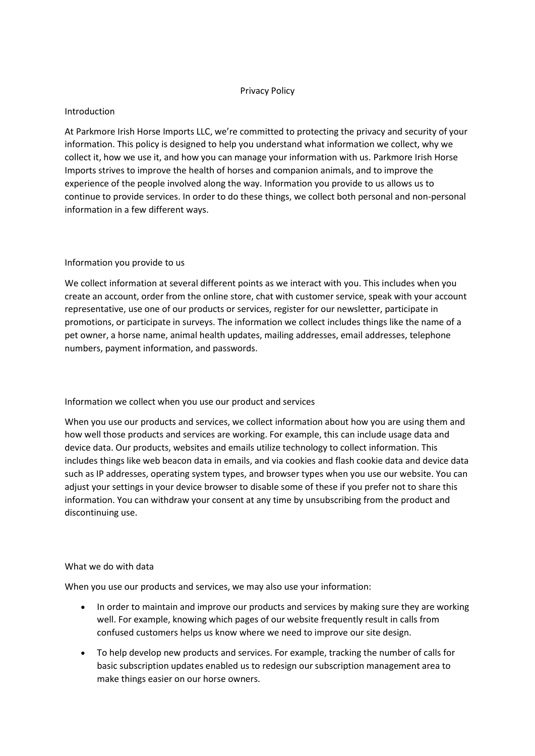#### Privacy Policy

#### Introduction

At Parkmore Irish Horse Imports LLC, we're committed to protecting the privacy and security of your information. This policy is designed to help you understand what information we collect, why we collect it, how we use it, and how you can manage your information with us. Parkmore Irish Horse Imports strives to improve the health of horses and companion animals, and to improve the experience of the people involved along the way. Information you provide to us allows us to continue to provide services. In order to do these things, we collect both personal and non-personal information in a few different ways.

#### Information you provide to us

We collect information at several different points as we interact with you. This includes when you create an account, order from the online store, chat with customer service, speak with your account representative, use one of our products or services, register for our newsletter, participate in promotions, or participate in surveys. The information we collect includes things like the name of a pet owner, a horse name, animal health updates, mailing addresses, email addresses, telephone numbers, payment information, and passwords.

#### Information we collect when you use our product and services

When you use our products and services, we collect information about how you are using them and how well those products and services are working. For example, this can include usage data and device data. Our products, websites and emails utilize technology to collect information. This includes things like web beacon data in emails, and via cookies and flash cookie data and device data such as IP addresses, operating system types, and browser types when you use our website. You can adjust your settings in your device browser to disable some of these if you prefer not to share this information. You can withdraw your consent at any time by unsubscribing from the product and discontinuing use.

#### What we do with data

When you use our products and services, we may also use your information:

- In order to maintain and improve our products and services by making sure they are working well. For example, knowing which pages of our website frequently result in calls from confused customers helps us know where we need to improve our site design.
- To help develop new products and services. For example, tracking the number of calls for basic subscription updates enabled us to redesign our subscription management area to make things easier on our horse owners.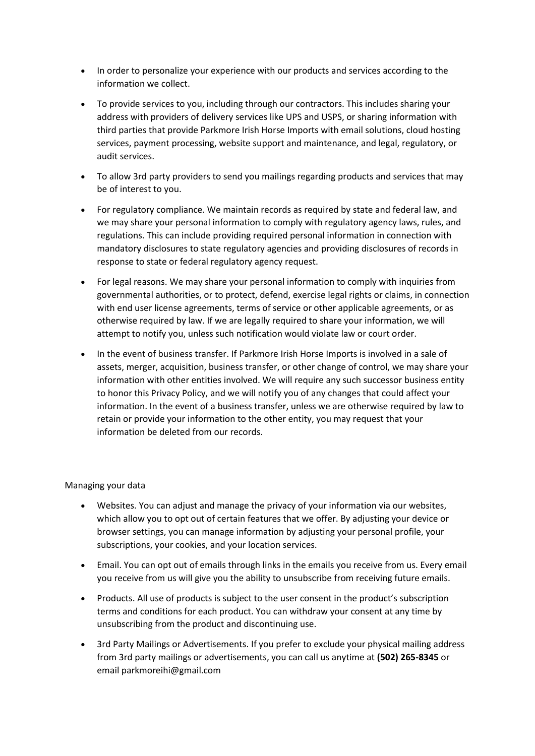- In order to personalize your experience with our products and services according to the information we collect.
- To provide services to you, including through our contractors. This includes sharing your address with providers of delivery services like UPS and USPS, or sharing information with third parties that provide Parkmore Irish Horse Imports with email solutions, cloud hosting services, payment processing, website support and maintenance, and legal, regulatory, or audit services.
- To allow 3rd party providers to send you mailings regarding products and services that may be of interest to you.
- For regulatory compliance. We maintain records as required by state and federal law, and we may share your personal information to comply with regulatory agency laws, rules, and regulations. This can include providing required personal information in connection with mandatory disclosures to state regulatory agencies and providing disclosures of records in response to state or federal regulatory agency request.
- For legal reasons. We may share your personal information to comply with inquiries from governmental authorities, or to protect, defend, exercise legal rights or claims, in connection with end user license agreements, terms of service or other applicable agreements, or as otherwise required by law. If we are legally required to share your information, we will attempt to notify you, unless such notification would violate law or court order.
- In the event of business transfer. If Parkmore Irish Horse Imports is involved in a sale of assets, merger, acquisition, business transfer, or other change of control, we may share your information with other entities involved. We will require any such successor business entity to honor this Privacy Policy, and we will notify you of any changes that could affect your information. In the event of a business transfer, unless we are otherwise required by law to retain or provide your information to the other entity, you may request that your information be deleted from our records.

# Managing your data

- Websites. You can adjust and manage the privacy of your information via our websites, which allow you to opt out of certain features that we offer. By adjusting your device or browser settings, you can manage information by adjusting your personal profile, your subscriptions, your cookies, and your location services.
- Email. You can opt out of emails through links in the emails you receive from us. Every email you receive from us will give you the ability to unsubscribe from receiving future emails.
- Products. All use of products is subject to the user consent in the product's subscription terms and conditions for each product. You can withdraw your consent at any time by unsubscribing from the product and discontinuing use.
- 3rd Party Mailings or Advertisements. If you prefer to exclude your physical mailing address from 3rd party mailings or advertisements, you can call us anytime at **(502) 265-8345** or email parkmoreihi@gmail.com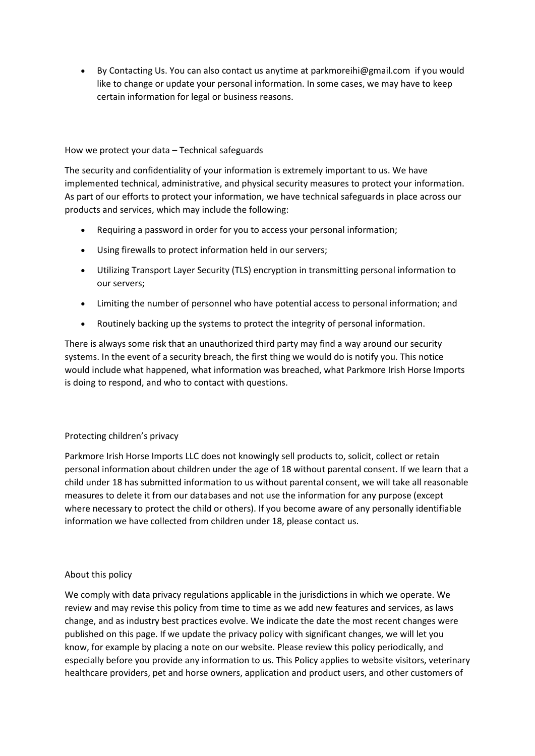• By Contacting Us. You can also contact us anytime at parkmoreihi@gmail.com if you would like to change or update your personal information. In some cases, we may have to keep certain information for legal or business reasons.

### How we protect your data – Technical safeguards

The security and confidentiality of your information is extremely important to us. We have implemented technical, administrative, and physical security measures to protect your information. As part of our efforts to protect your information, we have technical safeguards in place across our products and services, which may include the following:

- Requiring a password in order for you to access your personal information;
- Using firewalls to protect information held in our servers;
- Utilizing Transport Layer Security (TLS) encryption in transmitting personal information to our servers;
- Limiting the number of personnel who have potential access to personal information; and
- Routinely backing up the systems to protect the integrity of personal information.

There is always some risk that an unauthorized third party may find a way around our security systems. In the event of a security breach, the first thing we would do is notify you. This notice would include what happened, what information was breached, what Parkmore Irish Horse Imports is doing to respond, and who to contact with questions.

# Protecting children's privacy

Parkmore Irish Horse Imports LLC does not knowingly sell products to, solicit, collect or retain personal information about children under the age of 18 without parental consent. If we learn that a child under 18 has submitted information to us without parental consent, we will take all reasonable measures to delete it from our databases and not use the information for any purpose (except where necessary to protect the child or others). If you become aware of any personally identifiable information we have collected from children under 18, please contact us.

# About this policy

We comply with data privacy regulations applicable in the jurisdictions in which we operate. We review and may revise this policy from time to time as we add new features and services, as laws change, and as industry best practices evolve. We indicate the date the most recent changes were published on this page. If we update the privacy policy with significant changes, we will let you know, for example by placing a note on our website. Please review this policy periodically, and especially before you provide any information to us. This Policy applies to website visitors, veterinary healthcare providers, pet and horse owners, application and product users, and other customers of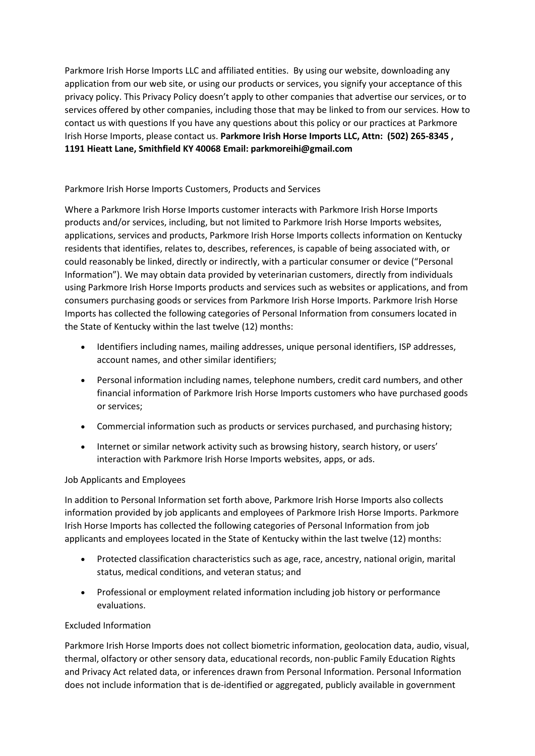Parkmore Irish Horse Imports LLC and affiliated entities. By using our website, downloading any application from our web site, or using our products or services, you signify your acceptance of this privacy policy. This Privacy Policy doesn't apply to other companies that advertise our services, or to services offered by other companies, including those that may be linked to from our services. How to contact us with questions If you have any questions about this policy or our practices at Parkmore Irish Horse Imports, please contact us. **Parkmore Irish Horse Imports LLC, Attn: (502) 265-8345 , 1191 Hieatt Lane, Smithfield KY 40068 Email: parkmoreihi@gmail.com**

# Parkmore Irish Horse Imports Customers, Products and Services

Where a Parkmore Irish Horse Imports customer interacts with Parkmore Irish Horse Imports products and/or services, including, but not limited to Parkmore Irish Horse Imports websites, applications, services and products, Parkmore Irish Horse Imports collects information on Kentucky residents that identifies, relates to, describes, references, is capable of being associated with, or could reasonably be linked, directly or indirectly, with a particular consumer or device ("Personal Information"). We may obtain data provided by veterinarian customers, directly from individuals using Parkmore Irish Horse Imports products and services such as websites or applications, and from consumers purchasing goods or services from Parkmore Irish Horse Imports. Parkmore Irish Horse Imports has collected the following categories of Personal Information from consumers located in the State of Kentucky within the last twelve (12) months:

- Identifiers including names, mailing addresses, unique personal identifiers, ISP addresses, account names, and other similar identifiers;
- Personal information including names, telephone numbers, credit card numbers, and other financial information of Parkmore Irish Horse Imports customers who have purchased goods or services;
- Commercial information such as products or services purchased, and purchasing history;
- Internet or similar network activity such as browsing history, search history, or users' interaction with Parkmore Irish Horse Imports websites, apps, or ads.

# Job Applicants and Employees

In addition to Personal Information set forth above, Parkmore Irish Horse Imports also collects information provided by job applicants and employees of Parkmore Irish Horse Imports. Parkmore Irish Horse Imports has collected the following categories of Personal Information from job applicants and employees located in the State of Kentucky within the last twelve (12) months:

- Protected classification characteristics such as age, race, ancestry, national origin, marital status, medical conditions, and veteran status; and
- Professional or employment related information including job history or performance evaluations.

# Excluded Information

Parkmore Irish Horse Imports does not collect biometric information, geolocation data, audio, visual, thermal, olfactory or other sensory data, educational records, non-public Family Education Rights and Privacy Act related data, or inferences drawn from Personal Information. Personal Information does not include information that is de-identified or aggregated, publicly available in government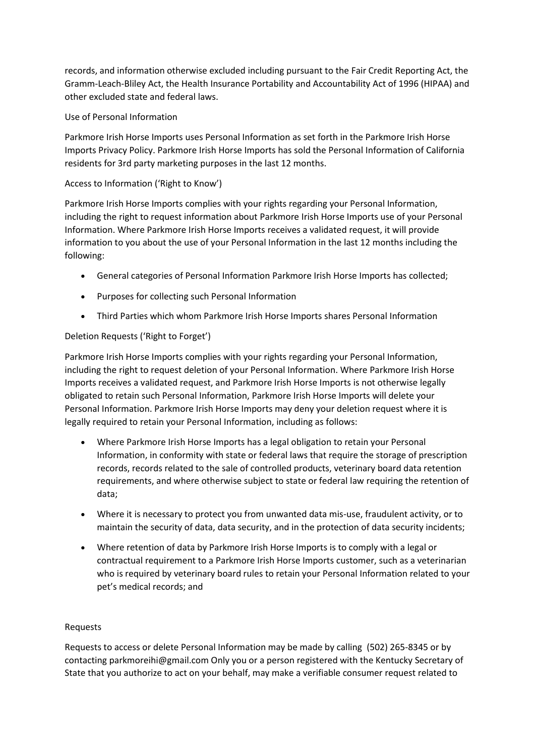records, and information otherwise excluded including pursuant to the Fair Credit Reporting Act, the Gramm-Leach-Bliley Act, the Health Insurance Portability and Accountability Act of 1996 (HIPAA) and other excluded state and federal laws.

### Use of Personal Information

Parkmore Irish Horse Imports uses Personal Information as set forth in the Parkmore Irish Horse Imports Privacy Policy. Parkmore Irish Horse Imports has sold the Personal Information of California residents for 3rd party marketing purposes in the last 12 months.

# Access to Information ('Right to Know')

Parkmore Irish Horse Imports complies with your rights regarding your Personal Information, including the right to request information about Parkmore Irish Horse Imports use of your Personal Information. Where Parkmore Irish Horse Imports receives a validated request, it will provide information to you about the use of your Personal Information in the last 12 months including the following:

- General categories of Personal Information Parkmore Irish Horse Imports has collected;
- Purposes for collecting such Personal Information
- Third Parties which whom Parkmore Irish Horse Imports shares Personal Information

# Deletion Requests ('Right to Forget')

Parkmore Irish Horse Imports complies with your rights regarding your Personal Information, including the right to request deletion of your Personal Information. Where Parkmore Irish Horse Imports receives a validated request, and Parkmore Irish Horse Imports is not otherwise legally obligated to retain such Personal Information, Parkmore Irish Horse Imports will delete your Personal Information. Parkmore Irish Horse Imports may deny your deletion request where it is legally required to retain your Personal Information, including as follows:

- Where Parkmore Irish Horse Imports has a legal obligation to retain your Personal Information, in conformity with state or federal laws that require the storage of prescription records, records related to the sale of controlled products, veterinary board data retention requirements, and where otherwise subject to state or federal law requiring the retention of data;
- Where it is necessary to protect you from unwanted data mis-use, fraudulent activity, or to maintain the security of data, data security, and in the protection of data security incidents;
- Where retention of data by Parkmore Irish Horse Imports is to comply with a legal or contractual requirement to a Parkmore Irish Horse Imports customer, such as a veterinarian who is required by veterinary board rules to retain your Personal Information related to your pet's medical records; and

# Requests

Requests to access or delete Personal Information may be made by calling (502) 265-8345 or by contacting parkmoreihi@gmail.com Only you or a person registered with the Kentucky Secretary of State that you authorize to act on your behalf, may make a verifiable consumer request related to